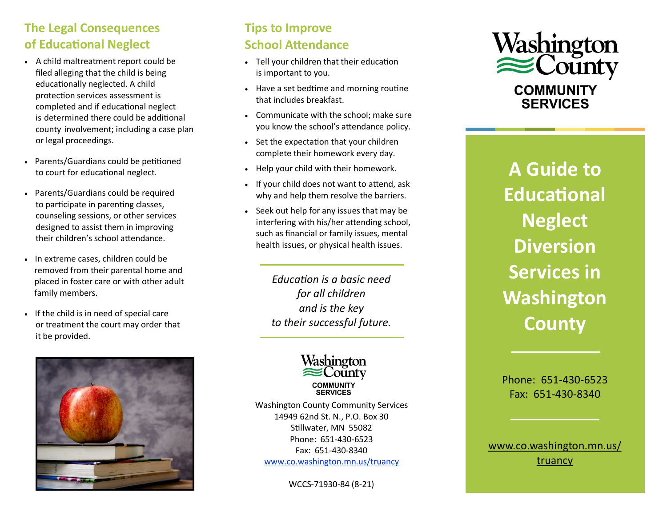## **The Legal Consequences of Educational Neglect**

- A child maltreatment report could be filed alleging that the child is being educationally neglected. A child protection services assessment is completed and if educational neglect is determined there could be additional county involvement; including a case plan or legal proceedings.
- Parents/Guardians could be petitioned to court for educational neglect.
- Parents/Guardians could be required to participate in parenting classes, counseling sessions, or other services designed to assist them in improving their children's school attendance.
- In extreme cases, children could be removed from their parental home and placed in foster care or with other adult family members.
- If the child is in need of special care or treatment the court may order that it be provided.



### **Tips to Improve School Attendance**

- Tell your children that their education is important to you.
- Have a set bedtime and morning routine that includes breakfast.
- Communicate with the school; make sure you know the school's attendance policy.
- Set the expectation that your children complete their homework every day.
- Help your child with their homework.
- If your child does not want to attend, ask why and help them resolve the barriers.
- Seek out help for any issues that may be interfering with his/her attending school, such as financial or family issues, mental health issues, or physical health issues.

*Education is a basic need for all children and is the key to their successful future.*



Washington County Community Services 14949 62nd St. N., P.O. Box 30 Stillwater, MN 55082 Phone: 651-430-6523 Fax: 651-430-8340 [www.co.washington.mn.us/truancy](https://www.co.washington.mn.us/814/Truancy)

WCCS-71930-84 (8-21)



**A Guide to Educational Neglect Diversion Services in Washington County**

Phone: 651-430-6523 Fax: 651-430-8340

[www.co.washington.mn.us/](https://www.co.washington.mn.us/814/Truancy) [truancy](https://www.co.washington.mn.us/814/Truancy)